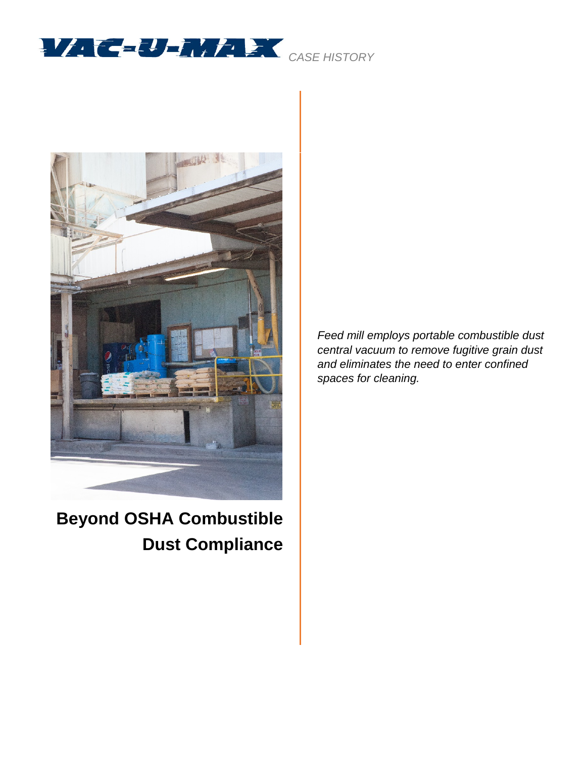



**Beyond OSHA Combustible Dust Compliance**

*Feed mill employs portable combustible dust central vacuum to remove fugitive grain dust and eliminates the need to enter confined spaces for cleaning.*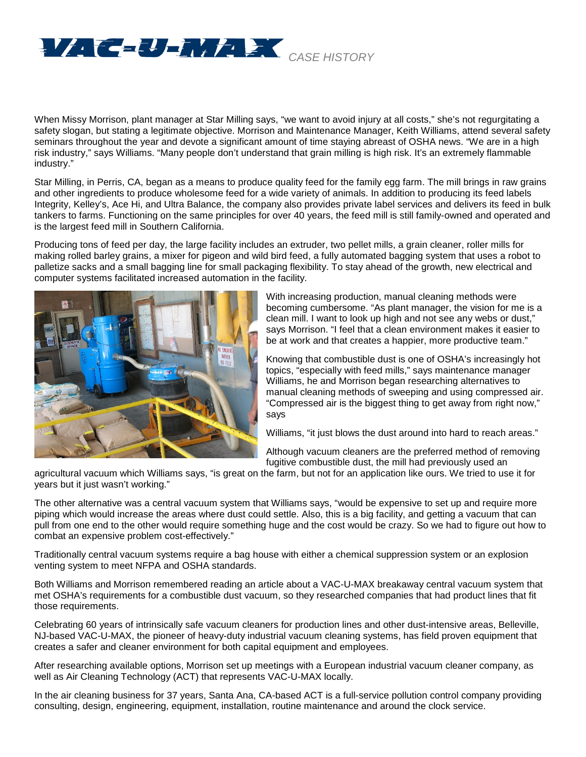

When Missy Morrison, plant manager at Star Milling says, "we want to avoid injury at all costs," she's not regurgitating a safety slogan, but stating a legitimate objective. Morrison and Maintenance Manager, Keith Williams, attend several safety seminars throughout the year and devote a significant amount of time staying abreast of OSHA news. "We are in a high risk industry," says Williams. "Many people don't understand that grain milling is high risk. It's an extremely flammable industry."

Star Milling, in Perris, CA, began as a means to produce quality feed for the family egg farm. The mill brings in raw grains and other ingredients to produce wholesome feed for a wide variety of animals. In addition to producing its feed labels Integrity, Kelley's, Ace Hi, and Ultra Balance, the company also provides private label services and delivers its feed in bulk tankers to farms. Functioning on the same principles for over 40 years, the feed mill is still family-owned and operated and is the largest feed mill in Southern California.

Producing tons of feed per day, the large facility includes an extruder, two pellet mills, a grain cleaner, roller mills for making rolled barley grains, a mixer for pigeon and wild bird feed, a fully automated bagging system that uses a robot to palletize sacks and a small bagging line for small packaging flexibility. To stay ahead of the growth, new electrical and computer systems facilitated increased automation in the facility.



With increasing production, manual cleaning methods were becoming cumbersome. "As plant manager, the vision for me is a clean mill. I want to look up high and not see any webs or dust," says Morrison. "I feel that a clean environment makes it easier to be at work and that creates a happier, more productive team."

Knowing that combustible dust is one of OSHA's increasingly hot topics, "especially with feed mills," says maintenance manager Williams, he and Morrison began researching alternatives to manual cleaning methods of sweeping and using compressed air. "Compressed air is the biggest thing to get away from right now," says

Williams, "it just blows the dust around into hard to reach areas."

Although vacuum cleaners are the preferred method of removing fugitive combustible dust, the mill had previously used an

agricultural vacuum which Williams says, "is great on the farm, but not for an application like ours. We tried to use it for years but it just wasn't working."

The other alternative was a central vacuum system that Williams says, "would be expensive to set up and require more piping which would increase the areas where dust could settle. Also, this is a big facility, and getting a vacuum that can pull from one end to the other would require something huge and the cost would be crazy. So we had to figure out how to combat an expensive problem cost-effectively."

Traditionally central vacuum systems require a bag house with either a chemical suppression system or an explosion venting system to meet NFPA and OSHA standards.

Both Williams and Morrison remembered reading an article about a VAC-U-MAX breakaway central vacuum system that met OSHA's requirements for a combustible dust vacuum, so they researched companies that had product lines that fit those requirements.

Celebrating 60 years of intrinsically safe vacuum cleaners for production lines and other dust-intensive areas, Belleville, NJ-based VAC-U-MAX, the pioneer of heavy-duty industrial vacuum cleaning systems, has field proven equipment that creates a safer and cleaner environment for both capital equipment and employees.

After researching available options, Morrison set up meetings with a European industrial vacuum cleaner company, as well as Air Cleaning Technology (ACT) that represents VAC-U-MAX locally.

In the air cleaning business for 37 years, Santa Ana, CA-based ACT is a full-service pollution control company providing consulting, design, engineering, equipment, installation, routine maintenance and around the clock service.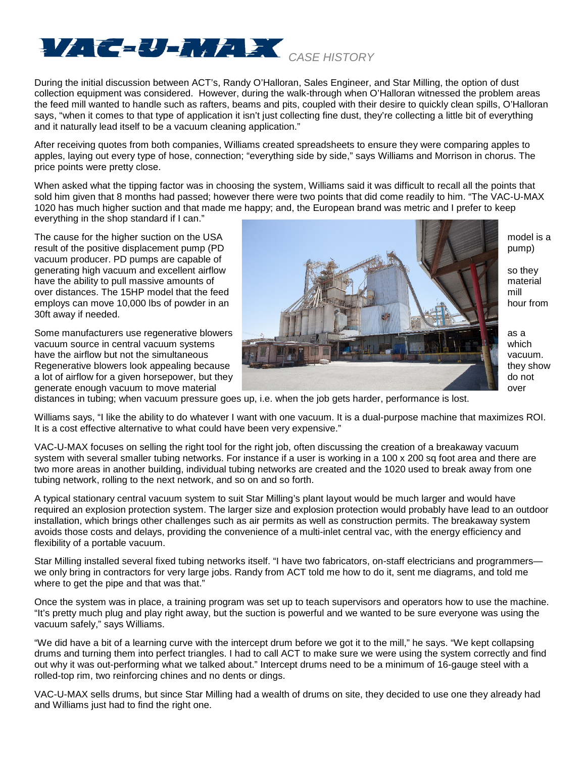

During the initial discussion between ACT's, Randy O'Halloran, Sales Engineer, and Star Milling, the option of dust collection equipment was considered. However, during the walk-through when O'Halloran witnessed the problem areas the feed mill wanted to handle such as rafters, beams and pits, coupled with their desire to quickly clean spills, O'Halloran says, "when it comes to that type of application it isn't just collecting fine dust, they're collecting a little bit of everything and it naturally lead itself to be a vacuum cleaning application."

After receiving quotes from both companies, Williams created spreadsheets to ensure they were comparing apples to apples, laying out every type of hose, connection; "everything side by side," says Williams and Morrison in chorus. The price points were pretty close.

When asked what the tipping factor was in choosing the system, Williams said it was difficult to recall all the points that sold him given that 8 months had passed; however there were two points that did come readily to him. "The VAC-U-MAX 1020 has much higher suction and that made me happy; and, the European brand was metric and I prefer to keep everything in the shop standard if I can."

vacuum producer. PD pumps are capable of 30ft away if needed.



distances in tubing; when vacuum pressure goes up, i.e. when the job gets harder, performance is lost.

Williams says, "I like the ability to do whatever I want with one vacuum. It is a dual-purpose machine that maximizes ROI. It is a cost effective alternative to what could have been very expensive."

VAC-U-MAX focuses on selling the right tool for the right job, often discussing the creation of a breakaway vacuum system with several smaller tubing networks. For instance if a user is working in a 100 x 200 sq foot area and there are two more areas in another building, individual tubing networks are created and the 1020 used to break away from one tubing network, rolling to the next network, and so on and so forth.

A typical stationary central vacuum system to suit Star Milling's plant layout would be much larger and would have required an explosion protection system. The larger size and explosion protection would probably have lead to an outdoor installation, which brings other challenges such as air permits as well as construction permits. The breakaway system avoids those costs and delays, providing the convenience of a multi-inlet central vac, with the energy efficiency and flexibility of a portable vacuum.

Star Milling installed several fixed tubing networks itself. "I have two fabricators, on-staff electricians and programmers we only bring in contractors for very large jobs. Randy from ACT told me how to do it, sent me diagrams, and told me where to get the pipe and that was that."

Once the system was in place, a training program was set up to teach supervisors and operators how to use the machine. "It's pretty much plug and play right away, but the suction is powerful and we wanted to be sure everyone was using the vacuum safely," says Williams.

"We did have a bit of a learning curve with the intercept drum before we got it to the mill," he says. "We kept collapsing drums and turning them into perfect triangles. I had to call ACT to make sure we were using the system correctly and find out why it was out-performing what we talked about." Intercept drums need to be a minimum of 16-gauge steel with a rolled-top rim, two reinforcing chines and no dents or dings.

VAC-U-MAX sells drums, but since Star Milling had a wealth of drums on site, they decided to use one they already had and Williams just had to find the right one.